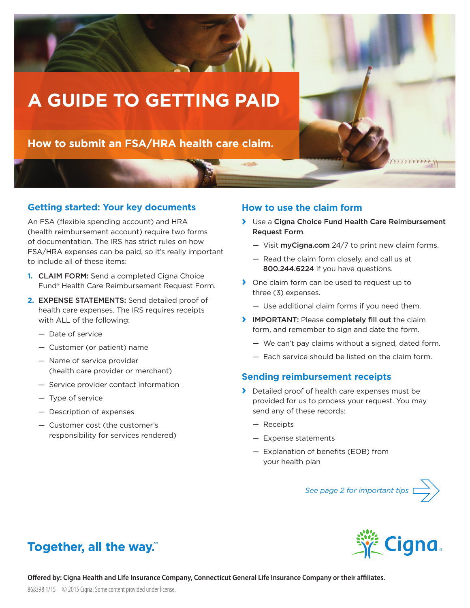

## **Getting started: Your key documents**

An FSA (flexible spending account) and HRA (health reimbursement account) require two forms of documentation. The IRS has strict rules on how FSA/HRA expenses can be paid, so it's really important to include all of these items:

- **1.** CLAIM FORM: Send a completed Cigna Choice Fund® Health Care Reimbursement Request Form.
- **2.** EXPENSE STATEMENTS: Send detailed proof of health care expenses. The IRS requires receipts with ALL of the following:
	- Date of service
	- Customer (or patient) name
	- Name of service provider (health care provider or merchant)
	- Service provider contact information
	- Type of service
	- Description of expenses
	- Customer cost (the customer's responsibility for services rendered)

## **How to use the claim form**

- **›** Use a Cigna Choice Fund Health Care Reimbursement Request Form.
	- Visit myCigna.com 24/7 to print new claim forms.
	- Read the claim form closely, and call us at 800.244.6224 if you have questions.
- **›** One claim form can be used to request up to three (3) expenses.
	- Use additional claim forms if you need them.
- **›** IMPORTANT: Please completely fill out the claim form, and remember to sign and date the form.
	- We can't pay claims without a signed, dated form.
	- Each service should be listed on the claim form.

## **Sending reimbursement receipts**

- **›** Detailed proof of health care expenses must be provided for us to process your request. You may send any of these records:
	- Receipts
	- Expense statements
	- $-$  Explanation of benefits (EOB) from your health plan

*See page 2 for important tips*



# Together, all the way."